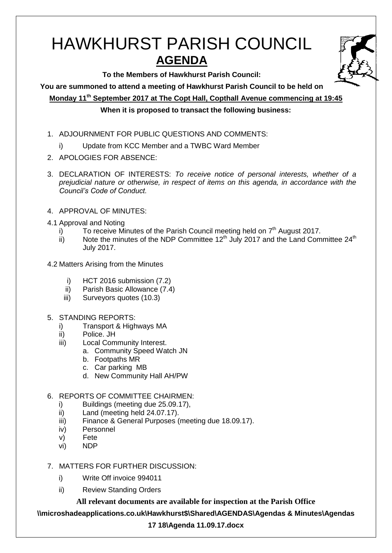# HAWKHURST PARISH COUNCIL **AGENDA**

**To the Members of Hawkhurst Parish Council:**

**You are summoned to attend a meeting of Hawkhurst Parish Council to be held on**

**Monday 11 th September 2017 at The Copt Hall, Copthall Avenue commencing at 19:45**

# **When it is proposed to transact the following business:**

- 1. ADJOURNMENT FOR PUBLIC QUESTIONS AND COMMENTS:
	- i) Update from KCC Member and a TWBC Ward Member
- 2. APOLOGIES FOR ABSENCE:
- 3. DECLARATION OF INTERESTS: *To receive notice of personal interests, whether of a prejudicial nature or otherwise, in respect of items on this agenda, in accordance with the Council's Code of Conduct.*
- 4. APPROVAL OF MINUTES:
- 4.1 Approval and Noting
	- i) To receive Minutes of the Parish Council meeting held on  $7<sup>th</sup>$  August 2017.
	- ii) Note the minutes of the NDP Committee 12<sup>th</sup> July 2017 and the Land Committee 24<sup>th</sup> July 2017.
- 4.2 Matters Arising from the Minutes
	- i) HCT 2016 submission (7.2)
	- ii) Parish Basic Allowance (7.4)
	- iii) Surveyors quotes (10.3)
- 5. STANDING REPORTS:
	- i) Transport & Highways MA
	- ii) Police. JH
	- iii) Local Community Interest.
		- a. Community Speed Watch JN
		- b. Footpaths MR
		- c. Car parking MB
		- d. New Community Hall AH/PW

# 6. REPORTS OF COMMITTEE CHAIRMEN:

- i) Buildings (meeting due 25.09.17),
- ii) Land (meeting held 24.07.17).
- iii) Finance & General Purposes (meeting due 18.09.17).
- iv) Personnel
- v) Fete
- vi) NDP
- 7. MATTERS FOR FURTHER DISCUSSION:
	- i) Write Off invoice 994011
	- ii) Review Standing Orders

**All relevant documents are available for inspection at the Parish Office**

**\\microshadeapplications.co.uk\Hawkhurst\$\Shared\AGENDAS\Agendas & Minutes\Agendas** 

## **17 18\Agenda 11.09.17.docx**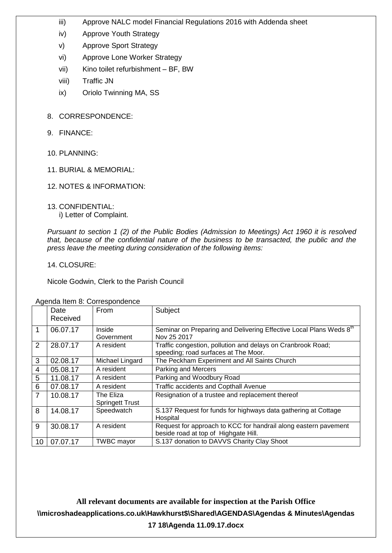- iii) Approve NALC model Financial Regulations 2016 with Addenda sheet
- iv) Approve Youth Strategy
- v) Approve Sport Strategy
- vi) Approve Lone Worker Strategy
- vii) Kino toilet refurbishment BF, BW
- viii) Traffic JN
- ix) Oriolo Twinning MA, SS
- 8. CORRESPONDENCE:
- 9. FINANCE:
- 10. PLANNING:
- 11. BURIAL & MEMORIAL:
- 12. NOTES & INFORMATION:
- 13. CONFIDENTIAL: i) Letter of Complaint.

*Pursuant to section 1 (2) of the Public Bodies (Admission to Meetings) Act 1960 it is resolved that, because of the confidential nature of the business to be transacted, the public and the press leave the meeting during consideration of the following items:*

14. CLOSURE:

Nicole Godwin, Clerk to the Parish Council

|                |          | <b>Ngonad Rom of Concepting Choo</b> |                                                                    |
|----------------|----------|--------------------------------------|--------------------------------------------------------------------|
|                | Date     | <b>From</b>                          | Subject                                                            |
|                | Received |                                      |                                                                    |
|                | 06.07.17 | Inside                               | Seminar on Preparing and Delivering Effective Local Plans Weds 8th |
|                |          | Government                           | Nov 25 2017                                                        |
| 2              | 28.07.17 | A resident                           | Traffic congestion, pollution and delays on Cranbrook Road;        |
|                |          |                                      | speeding; road surfaces at The Moor.                               |
| 3              | 02.08.17 | Michael Lingard                      | The Peckham Experiment and All Saints Church                       |
| $\overline{4}$ | 05.08.17 | A resident                           | Parking and Mercers                                                |
| 5              | 11.08.17 | A resident                           | Parking and Woodbury Road                                          |
| 6              | 07.08.17 | A resident                           | Traffic accidents and Copthall Avenue                              |
| $\overline{7}$ | 10.08.17 | The Eliza                            | Resignation of a trustee and replacement thereof                   |
|                |          | <b>Springett Trust</b>               |                                                                    |
| 8              | 14.08.17 | Speedwatch                           | S.137 Request for funds for highways data gathering at Cottage     |
|                |          |                                      | Hospital                                                           |
| 9              | 30.08.17 | A resident                           | Request for approach to KCC for handrail along eastern pavement    |
|                |          |                                      | beside road at top of Highgate Hill.                               |
| 10             | 07.07.17 | <b>TWBC</b> mayor                    | S.137 donation to DAVVS Charity Clay Shoot                         |

Agenda Item 8: Correspondence

**All relevant documents are available for inspection at the Parish Office \\microshadeapplications.co.uk\Hawkhurst\$\Shared\AGENDAS\Agendas & Minutes\Agendas 17 18\Agenda 11.09.17.docx**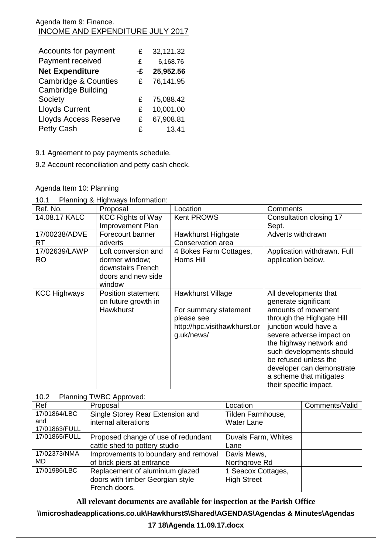## Agenda Item 9: Finance. INCOME AND EXPENDITURE JULY 2017

| Accounts for payment            | £  | 32,121.32 |
|---------------------------------|----|-----------|
| Payment received                | £  | 6,168.76  |
| <b>Net Expenditure</b>          | -£ | 25,952.56 |
| <b>Cambridge &amp; Counties</b> | £  | 76,141.95 |
| <b>Cambridge Building</b>       |    |           |
| Society                         | £  | 75,088.42 |
| <b>Lloyds Current</b>           | £  | 10,001.00 |
| <b>Lloyds Access Reserve</b>    | £  | 67,908.81 |
| <b>Petty Cash</b>               | £  | 13.41     |

9.1 Agreement to pay payments schedule.

9.2 Account reconciliation and petty cash check.

## Agenda Item 10: Planning

| Planning & Highways Information:<br>10.1 |
|------------------------------------------|
|------------------------------------------|

| Ref. No.                   | Proposal                                                                                   | Location                                                                                                      | Comments                                                                                                                                                                                                                                                                                                                 |
|----------------------------|--------------------------------------------------------------------------------------------|---------------------------------------------------------------------------------------------------------------|--------------------------------------------------------------------------------------------------------------------------------------------------------------------------------------------------------------------------------------------------------------------------------------------------------------------------|
| 14.08.17 KALC              | <b>KCC Rights of Way</b><br>Improvement Plan                                               | <b>Kent PROWS</b>                                                                                             | Consultation closing 17<br>Sept.                                                                                                                                                                                                                                                                                         |
| 17/00238/ADVE<br><b>RT</b> | Forecourt banner<br>adverts                                                                | Hawkhurst Highgate<br>Conservation area                                                                       | Adverts withdrawn                                                                                                                                                                                                                                                                                                        |
| 17/02639/LAWP<br>RO        | Loft conversion and<br>dormer window;<br>downstairs French<br>doors and new side<br>window | 4 Bokes Farm Cottages,<br>Horns Hill                                                                          | Application withdrawn. Full<br>application below.                                                                                                                                                                                                                                                                        |
| <b>KCC Highways</b>        | <b>Position statement</b><br>on future growth in<br><b>Hawkhurst</b>                       | <b>Hawkhurst Village</b><br>For summary statement<br>please see<br>http://hpc.visithawkhurst.or<br>g.uk/news/ | All developments that<br>generate significant<br>amounts of movement<br>through the Highgate Hill<br>junction would have a<br>severe adverse impact on<br>the highway network and<br>such developments should<br>be refused unless the<br>developer can demonstrate<br>a scheme that mitigates<br>their specific impact. |

## 10.2 Planning TWBC Approved:

| Ref           | Proposal                             | Location            | Comments/Valid |
|---------------|--------------------------------------|---------------------|----------------|
| 17/01864/LBC  | Single Storey Rear Extension and     | Tilden Farmhouse,   |                |
| and           | internal alterations                 | <b>Water Lane</b>   |                |
| 17/01863/FULL |                                      |                     |                |
| 17/01865/FULL | Proposed change of use of redundant  | Duvals Farm, Whites |                |
|               | cattle shed to pottery studio        | Lane                |                |
| 17/02373/NMA  | Improvements to boundary and removal | Davis Mews,         |                |
| MD            | of brick piers at entrance           | Northgrove Rd       |                |
| 17/01986/LBC  | Replacement of aluminium glazed      | 1 Seacox Cottages,  |                |
|               | doors with timber Georgian style     | <b>High Street</b>  |                |
|               | French doors.                        |                     |                |

**All relevant documents are available for inspection at the Parish Office**

**\\microshadeapplications.co.uk\Hawkhurst\$\Shared\AGENDAS\Agendas & Minutes\Agendas** 

#### **17 18\Agenda 11.09.17.docx**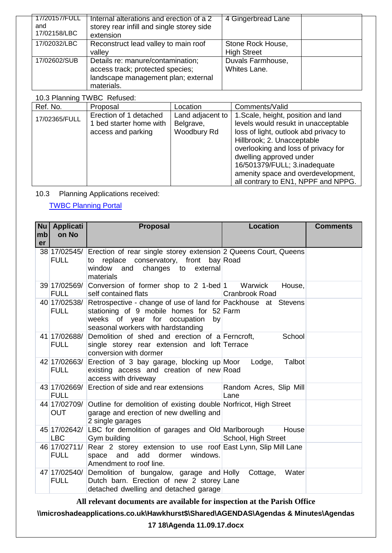| 17/20157/FULL<br>and<br>17/02158/LBC | Internal alterations and erection of a 2<br>storey rear infill and single storey side<br>extension                         | 4 Gingerbread Lane                      |  |
|--------------------------------------|----------------------------------------------------------------------------------------------------------------------------|-----------------------------------------|--|
| 17/02032/LBC                         | Reconstruct lead valley to main roof<br>valley                                                                             | Stone Rock House,<br><b>High Street</b> |  |
| 17/02602/SUB                         | Details re: manure/contamination;<br>access track; protected species;<br>landscape management plan; external<br>materials. | Duvals Farmhouse,<br>Whites Lane.       |  |

# 10.3 Planning TWBC Refused:

| Ref. No.      | Proposal                                                                | Location                                     | Comments/Valid                                                                                                                                                                                                                                                                                                                   |
|---------------|-------------------------------------------------------------------------|----------------------------------------------|----------------------------------------------------------------------------------------------------------------------------------------------------------------------------------------------------------------------------------------------------------------------------------------------------------------------------------|
| 17/02365/FULL | Erection of 1 detached<br>1 bed starter home with<br>access and parking | Land adjacent to<br>Belgrave,<br>Woodbury Rd | 1. Scale, height, position and land<br>levels would resukt in unacceptable<br>loss of light, outlook abd privacy to<br>Hillbrook; 2. Unacceptable<br>overlooking and loss of privacy for<br>dwelling approved under<br>16/501379/FULL; 3.inadequate<br>amenity space and overdevelopment,<br>all contrary to EN1, NPPF and NPPG. |

10.3 Planning Applications received:

[TWBC Planning Portal](http://www.tunbridgewells.gov.uk/residents/planning/planning-application-search)

| mb<br>er | Nu   Applicati<br>on No    | <b>Proposal</b>                                                                                                                                                                                     | <b>Location</b>                 | <b>Comments</b> |
|----------|----------------------------|-----------------------------------------------------------------------------------------------------------------------------------------------------------------------------------------------------|---------------------------------|-----------------|
|          | <b>FULL</b>                | 38 17/02545/ Erection of rear single storey extension 2 Queens Court, Queens<br>to replace conservatory, front bay Road<br>window and changes to external<br>materials                              |                                 |                 |
|          | <b>FULL</b>                | 39 17/02569/ Conversion of former shop to 2 1-bed 1 Warwick<br>self contained flats                                                                                                                 | House,<br><b>Cranbrook Road</b> |                 |
|          | <b>FULL</b>                | 40 17/02538/ Retrospective - change of use of land for Packhouse at Stevens<br>stationing of 9 mobile homes for 52 Farm<br>weeks of year for occupation<br>by<br>seasonal workers with hardstanding |                                 |                 |
|          | <b>FULL</b>                | 41 17/02688/ Demolition of shed and erection of a Ferncroft,<br>single storey rear extension and loft Terrace<br>conversion with dormer                                                             | School                          |                 |
|          | <b>FULL</b>                | 42 17/02663/ Erection of 3 bay garage, blocking up Moor<br>existing access and creation of new Road<br>access with driveway                                                                         | Talbot<br>Lodge,                |                 |
|          | <b>FULL</b>                | 43 17/02669/ Erection of side and rear extensions                                                                                                                                                   | Random Acres, Slip Mill<br>Lane |                 |
|          | <b>OUT</b>                 | 44 17/02709/ Outline for demolition of existing double Norfricot, High Street<br>garage and erection of new dwelling and<br>2 single garages                                                        |                                 |                 |
|          | 45 17/02642/<br><b>LBC</b> | LBC for demolition of garages and Old Marlborough<br>Gym building                                                                                                                                   | House<br>School, High Street    |                 |
|          | <b>FULL</b>                | 46 17/02711/ Rear 2 storey extension to use roof East Lynn, Slip Mill Lane<br>space<br>and<br>add<br>dormer<br>windows.<br>Amendment to roof line.                                                  |                                 |                 |
|          | <b>FULL</b>                | 47 17/02540/ Demolition of bungalow, garage and Holly<br>Dutch barn. Erection of new 2 storey Lane<br>detached dwelling and detached garage                                                         | Water<br>Cottage,               |                 |

**All relevant documents are available for inspection at the Parish Office**

**\\microshadeapplications.co.uk\Hawkhurst\$\Shared\AGENDAS\Agendas & Minutes\Agendas** 

**17 18\Agenda 11.09.17.docx**